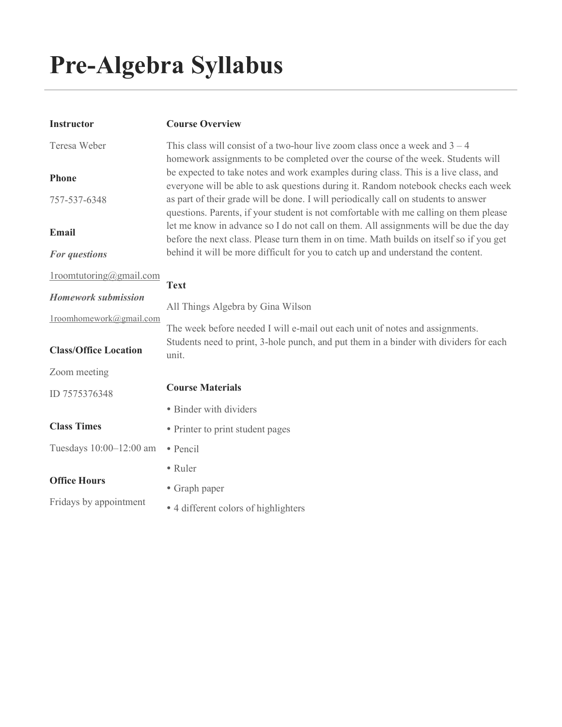# Pre-Algebra Syllabus

| <b>Instructor</b>            | <b>Course Overview</b>                                                                                                                                                          |
|------------------------------|---------------------------------------------------------------------------------------------------------------------------------------------------------------------------------|
| Teresa Weber                 | This class will consist of a two-hour live zoom class once a week and $3 - 4$<br>homework assignments to be completed over the course of the week. Students will                |
| Phone                        | be expected to take notes and work examples during class. This is a live class, and<br>everyone will be able to ask questions during it. Random notebook checks each week       |
| 757-537-6348                 | as part of their grade will be done. I will periodically call on students to answer<br>questions. Parents, if your student is not comfortable with me calling on them please    |
| Email                        | let me know in advance so I do not call on them. All assignments will be due the day<br>before the next class. Please turn them in on time. Math builds on itself so if you get |
| For questions                | behind it will be more difficult for you to catch up and understand the content.                                                                                                |
| $1$ roomtutoring@gmail.com   | <b>Text</b>                                                                                                                                                                     |
| <b>Homework submission</b>   | All Things Algebra by Gina Wilson                                                                                                                                               |
| 1roomhomework@gmail.com      | The week before needed I will e-mail out each unit of notes and assignments.                                                                                                    |
| <b>Class/Office Location</b> | Students need to print, 3-hole punch, and put them in a binder with dividers for each<br>unit.                                                                                  |
| Zoom meeting                 |                                                                                                                                                                                 |
| ID 7575376348                | <b>Course Materials</b>                                                                                                                                                         |
|                              | • Binder with dividers                                                                                                                                                          |
| <b>Class Times</b>           | • Printer to print student pages                                                                                                                                                |
| Tuesdays 10:00-12:00 am      | • Pencil                                                                                                                                                                        |
|                              | • Ruler                                                                                                                                                                         |
| <b>Office Hours</b>          | • Graph paper                                                                                                                                                                   |
| Fridays by appointment       | • 4 different colors of highlighters                                                                                                                                            |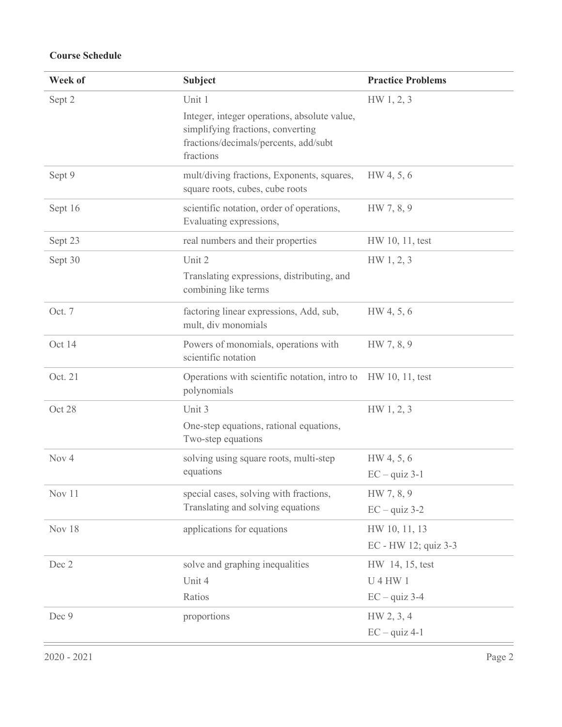# Course Schedule

| Week of          | <b>Subject</b>                                                                                                                                    | <b>Practice Problems</b>                           |
|------------------|---------------------------------------------------------------------------------------------------------------------------------------------------|----------------------------------------------------|
| Sept 2           | Unit 1<br>Integer, integer operations, absolute value,<br>simplifying fractions, converting<br>fractions/decimals/percents, add/subt<br>fractions | HW 1, 2, 3                                         |
| Sept 9           | mult/diving fractions, Exponents, squares,<br>square roots, cubes, cube roots                                                                     | HW 4, 5, 6                                         |
| Sept 16          | scientific notation, order of operations,<br>Evaluating expressions,                                                                              | HW 7, 8, 9                                         |
| Sept 23          | real numbers and their properties                                                                                                                 | HW 10, 11, test                                    |
| Sept 30          | Unit 2<br>Translating expressions, distributing, and<br>combining like terms                                                                      | HW 1, 2, 3                                         |
| Oct. 7           | factoring linear expressions, Add, sub,<br>mult, div monomials                                                                                    | HW 4, 5, 6                                         |
| Oct 14           | Powers of monomials, operations with<br>scientific notation                                                                                       | HW 7, 8, 9                                         |
| Oct. 21          | Operations with scientific notation, intro to HW 10, 11, test<br>polynomials                                                                      |                                                    |
| Oct 28           | Unit 3<br>One-step equations, rational equations,<br>Two-step equations                                                                           | HW 1, 2, 3                                         |
| Nov <sub>4</sub> | solving using square roots, multi-step<br>equations                                                                                               | HW 4, 5, 6<br>$EC - quiz 3-1$                      |
| Nov 11           | special cases, solving with fractions,<br>Translating and solving equations                                                                       | HW 7, 8, 9<br>$EC - quiz 3-2$                      |
| Nov 18           | applications for equations                                                                                                                        | HW 10, 11, 13<br>EC - HW 12; quiz 3-3              |
| Dec 2            | solve and graphing inequalities<br>Unit 4<br>Ratios                                                                                               | HW 14, 15, test<br><b>U4HW1</b><br>$EC - quiz 3-4$ |
| Dec 9            | proportions                                                                                                                                       | HW 2, 3, 4<br>$EC - quiz 4-1$                      |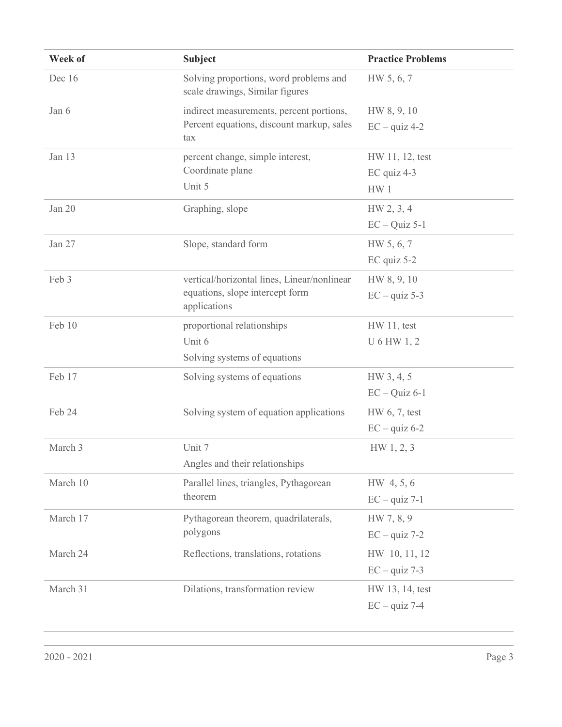| Week of  | <b>Subject</b>                                                            | <b>Practice Problems</b> |
|----------|---------------------------------------------------------------------------|--------------------------|
| Dec 16   | Solving proportions, word problems and<br>scale drawings, Similar figures | HW 5, 6, 7               |
| Jan 6    | indirect measurements, percent portions,                                  | HW 8, 9, 10              |
|          | Percent equations, discount markup, sales<br>tax                          | $EC - quiz 4-2$          |
| Jan 13   | percent change, simple interest,                                          | HW 11, 12, test          |
|          | Coordinate plane                                                          | EC quiz 4-3              |
|          | Unit 5                                                                    | HW <sub>1</sub>          |
| Jan 20   | Graphing, slope                                                           | HW 2, 3, 4               |
|          |                                                                           | $EC - Quiz$ 5-1          |
| Jan 27   | Slope, standard form                                                      | HW 5, 6, 7               |
|          |                                                                           | $EC$ quiz 5-2            |
| Feb 3    | vertical/horizontal lines, Linear/nonlinear                               | HW 8, 9, 10              |
|          | equations, slope intercept form<br>applications                           | $EC - quiz 5-3$          |
| Feb 10   | proportional relationships                                                | $HW 11$ , test           |
|          | Unit 6                                                                    | U 6 HW 1, 2              |
|          | Solving systems of equations                                              |                          |
| Feb 17   | Solving systems of equations                                              | HW 3, 4, 5               |
|          |                                                                           | $EC - Quiz$ 6-1          |
| Feb 24   | Solving system of equation applications                                   | HW 6, 7, test            |
|          |                                                                           | $EC - quiz 6-2$          |
| March 3  | Unit 7                                                                    | HW 1, 2, 3               |
|          | Angles and their relationships                                            |                          |
| March 10 | Parallel lines, triangles, Pythagorean<br>theorem                         | HW 4, 5, 6               |
|          |                                                                           | $EC - quiz 7-1$          |
| March 17 | Pythagorean theorem, quadrilaterals,<br>polygons                          | HW 7, 8, 9               |
|          |                                                                           | $EC - quiz$ 7-2          |
| March 24 | Reflections, translations, rotations                                      | HW 10, 11, 12            |
|          |                                                                           | $EC - quiz$ 7-3          |
| March 31 | Dilations, transformation review                                          | HW 13, 14, test          |
|          |                                                                           | $EC - quiz$ 7-4          |
|          |                                                                           |                          |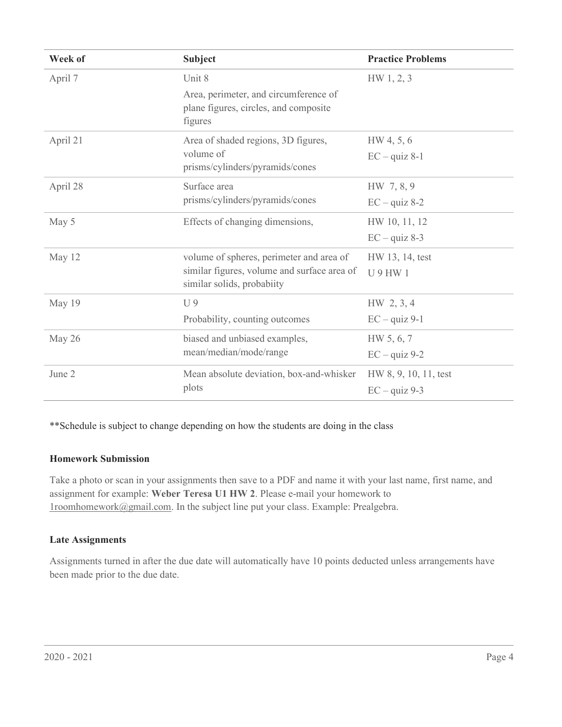| Week of  | <b>Subject</b>                                                                                                        | <b>Practice Problems</b> |
|----------|-----------------------------------------------------------------------------------------------------------------------|--------------------------|
| April 7  | Unit 8                                                                                                                | HW 1, 2, 3               |
|          | Area, perimeter, and circumference of<br>plane figures, circles, and composite<br>figures                             |                          |
| April 21 | Area of shaded regions, 3D figures,<br>volume of<br>prisms/cylinders/pyramids/cones                                   | HW 4, 5, 6               |
|          |                                                                                                                       | $EC - quiz 8-1$          |
| April 28 | Surface area<br>prisms/cylinders/pyramids/cones                                                                       | HW 7, 8, 9               |
|          |                                                                                                                       | $EC - quiz 8-2$          |
| May 5    | Effects of changing dimensions,                                                                                       | HW 10, 11, 12            |
|          |                                                                                                                       | $EC - quiz 8-3$          |
| May 12   | volume of spheres, perimeter and area of<br>similar figures, volume and surface area of<br>similar solids, probabiity | HW 13, 14, test          |
|          |                                                                                                                       | <b>U9HW1</b>             |
| May 19   | U <sub>9</sub>                                                                                                        | $HW\,2,3,4$              |
|          | Probability, counting outcomes                                                                                        | $EC - quiz 9-1$          |
| May 26   | biased and unbiased examples,<br>mean/median/mode/range                                                               | HW 5, 6, 7               |
|          |                                                                                                                       | $EC - quiz 9-2$          |
| June 2   | Mean absolute deviation, box-and-whisker<br>plots                                                                     | HW 8, 9, 10, 11, test    |
|          |                                                                                                                       | $EC - quiz 9-3$          |

\*\*Schedule is subject to change depending on how the students are doing in the class

#### Homework Submission

Take a photo or scan in your assignments then save to a PDF and name it with your last name, first name, and assignment for example: Weber Teresa U1 HW 2. Please e-mail your homework to 1roomhomework@gmail.com. In the subject line put your class. Example: Prealgebra.

#### Late Assignments

Assignments turned in after the due date will automatically have 10 points deducted unless arrangements have been made prior to the due date.